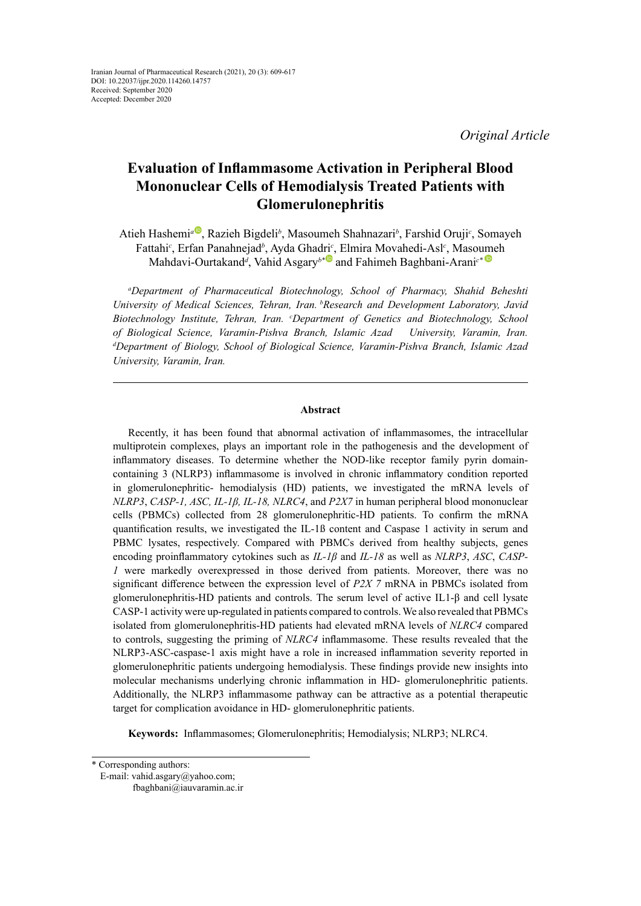*Original Article*

# **Evaluation of Inflammasome Activation in Peripheral Blood Mononuclear Cells of Hemodialysis Treated Patients with Glomerulonephritis**

Atieh H[a](http://orcid.org/0000-0001-7121-5306)shemi<sup>a®</sup>, Razieh Bigdeli<sup>b</sup>, Masoumeh Shahnazari<sup>b</sup>, Farshid Oruji<sup>c</sup>, Somayeh Fattahi*<sup>c</sup>* , Erfan Panahnejad*<sup>b</sup>* , Ayda Ghadri*<sup>c</sup>* , Elmira Movahedi-Asl*<sup>c</sup>* , Maso[ume](https://orcid.org/0000-0002-4220-9596)h Mahdavi-Ourtakand*<sup>d</sup>* , Vahid Asgary*b\**and Fahimeh Baghbani-Arani*c\**

*a Department of Pharmaceutical Biotechnology, School of Pharmacy, Shahid Beheshti University of Medical Sciences, Tehran, Iran. bResearch and Development Laboratory, Javid Biotechnology Institute, Tehran, Iran. c Department of Genetics and Biotechnology, School of Biological Science, Varamin-Pishva Branch, Islamic Azad University, Varamin, Iran. d Department of Biology, School of Biological Science, Varamin-Pishva Branch, Islamic Azad University, Varamin, Iran.* 

#### **Abstract**

Recently, it has been found that abnormal activation of inflammasomes, the intracellular multiprotein complexes, plays an important role in the pathogenesis and the development of inflammatory diseases. To determine whether the NOD-like receptor family pyrin domaincontaining 3 (NLRP3) inflammasome is involved in chronic inflammatory condition reported in glomerulonephritic- hemodialysis (HD) patients, we investigated the mRNA levels of *NLRP3*, *CASP-1, ASC, IL-1β, IL-18, NLRC4*, and *P2X7* in human peripheral blood mononuclear cells (PBMCs) collected from 28 glomerulonephritic-HD patients. To confirm the mRNA quantification results, we investigated the IL-1ß content and Caspase 1 activity in serum and PBMC lysates, respectively. Compared with PBMCs derived from healthy subjects, genes encoding proinflammatory cytokines such as *IL-1β* and *IL-18* as well as *NLRP3*, *ASC*, *CASP-1* were markedly overexpressed in those derived from patients. Moreover, there was no significant difference between the expression level of *P2X 7* mRNA in PBMCs isolated from glomerulonephritis-HD patients and controls. The serum level of active IL1-β and cell lysate CASP-1 activity were up-regulated in patients compared to controls. We also revealed that PBMCs isolated from glomerulonephritis-HD patients had elevated mRNA levels of *NLRC4* compared to controls, suggesting the priming of *NLRC4* inflammasome. These results revealed that the NLRP3-ASC-caspase-1 axis might have a role in increased inflammation severity reported in glomerulonephritic patients undergoing hemodialysis. These findings provide new insights into molecular mechanisms underlying chronic inflammation in HD- glomerulonephritic patients. Additionally, the NLRP3 inflammasome pathway can be attractive as a potential therapeutic target for complication avoidance in HD- glomerulonephritic patients.

**Keywords:** Inflammasomes; Glomerulonephritis; Hemodialysis; NLRP3; NLRC4.

<sup>\*</sup> Corresponding authors:

E-mail: vahid.asgary@yahoo.com;

fbaghbani@iauvaramin.ac.ir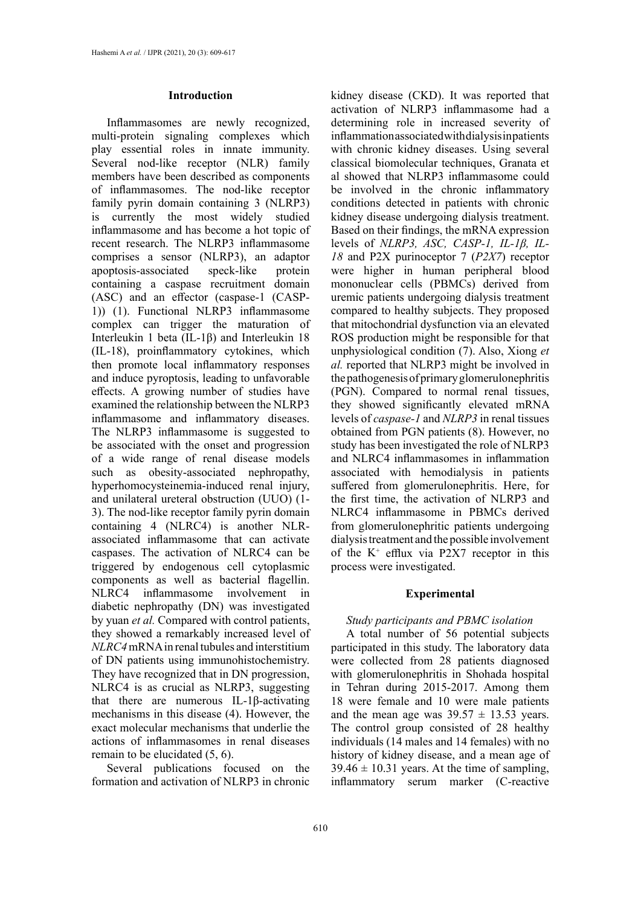## **Introduction**

Inflammasomes are newly recognized, multi-protein signaling complexes which play essential roles in innate immunity. Several nod-like receptor (NLR) family members have been described as components of inflammasomes. The nod-like receptor family pyrin domain containing 3 (NLRP3) is currently the most widely studied inflammasome and has become a hot topic of recent research. The NLRP3 inflammasome comprises a sensor (NLRP3), an adaptor apoptosis-associated speck-like protein containing a caspase recruitment domain (ASC) and an effector (caspase-1 (CASP-1)) (1). Functional NLRP3 inflammasome complex can trigger the maturation of Interleukin 1 beta (IL-1β) and Interleukin 18 (IL-18), proinflammatory cytokines, which then promote local inflammatory responses and induce pyroptosis, leading to unfavorable effects. A growing number of studies have examined the relationship between the NLRP3 inflammasome and inflammatory diseases. The NLRP3 inflammasome is suggested to be associated with the onset and progression of a wide range of renal disease models such as obesity-associated nephropathy, hyperhomocysteinemia-induced renal injury, and unilateral ureteral obstruction (UUO) (1- 3). The nod-like receptor family pyrin domain containing 4 (NLRC4) is another NLRassociated inflammasome that can activate caspases. The activation of NLRC4 can be triggered by endogenous cell cytoplasmic components as well as bacterial flagellin. NLRC4 inflammasome involvement in diabetic nephropathy (DN) was investigated by yuan *et al.* Compared with control patients, they showed a remarkably increased level of *NLRC4* mRNA in renal tubules and interstitium of DN patients using immunohistochemistry. They have recognized that in DN progression, NLRC4 is as crucial as NLRP3, suggesting that there are numerous IL-1β-activating mechanisms in this disease (4). However, the exact molecular mechanisms that underlie the actions of inflammasomes in renal diseases remain to be elucidated (5, 6).

Several publications focused on the formation and activation of NLRP3 in chronic

kidney disease (CKD). It was reported that activation of NLRP3 inflammasome had a determining role in increased severity of inflammation associated with dialysis in patients with chronic kidney diseases. Using several classical biomolecular techniques, Granata et al showed that NLRP3 inflammasome could be involved in the chronic inflammatory conditions detected in patients with chronic kidney disease undergoing dialysis treatment. Based on their findings, the mRNA expression levels of *NLRP3, ASC, CASP-1, IL-1β, IL-18* and P2X purinoceptor 7 (*P2X7*) receptor were higher in human peripheral blood mononuclear cells (PBMCs) derived from uremic patients undergoing dialysis treatment compared to healthy subjects. They proposed that mitochondrial dysfunction via an elevated ROS production might be responsible for that unphysiological condition (7). Also, Xiong *et al.* reported that NLRP3 might be involved in the pathogenesis of primary glomerulonephritis (PGN). Compared to normal renal tissues, they showed significantly elevated mRNA levels of *caspase-1* and *NLRP3* in renal tissues obtained from PGN patients (8). However, no study has been investigated the role of NLRP3 and NLRC4 inflammasomes in inflammation associated with hemodialysis in patients suffered from glomerulonephritis. Here, for the first time, the activation of NLRP3 and NLRC4 inflammasome in PBMCs derived from glomerulonephritic patients undergoing dialysis treatment and the possible involvement of the  $K^+$  efflux via P2X7 receptor in this process were investigated.

## **Experimental**

# *Study participants and PBMC isolation*

A total number of 56 potential subjects participated in this study. The laboratory data were collected from 28 patients diagnosed with glomerulonephritis in Shohada hospital in Tehran during 2015-2017. Among them 18 were female and 10 were male patients and the mean age was  $39.57 \pm 13.53$  years. The control group consisted of 28 healthy individuals (14 males and 14 females) with no history of kidney disease, and a mean age of  $39.46 \pm 10.31$  years. At the time of sampling, inflammatory serum marker (C-reactive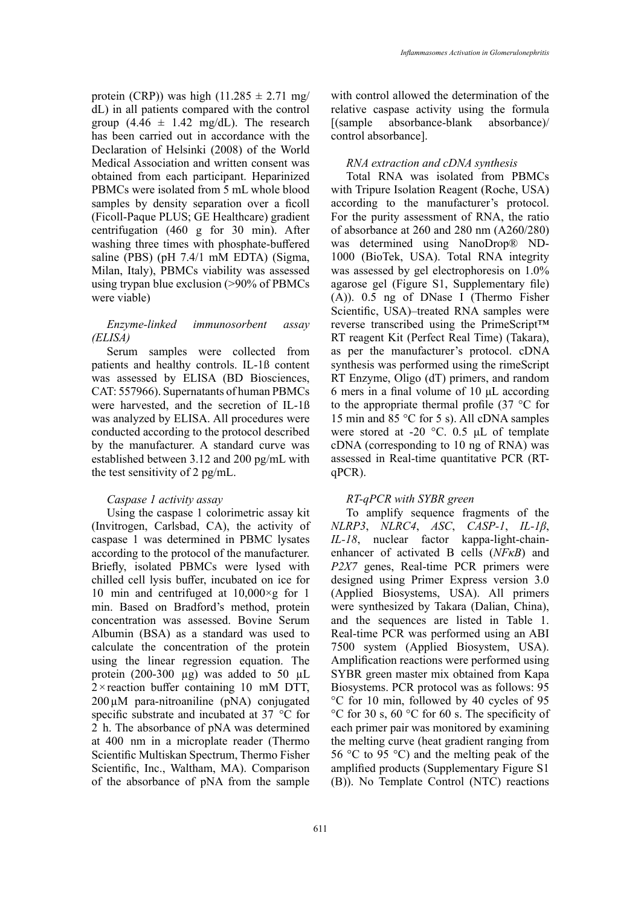protein (CRP)) was high (11.285  $\pm$  2.71 mg/ dL) in all patients compared with the control group  $(4.46 \pm 1.42 \text{ mg/dL})$ . The research has been carried out in accordance with the Declaration of Helsinki (2008) of the World Medical Association and written consent was obtained from each participant. Heparinized PBMCs were isolated from 5 mL whole blood samples by density separation over a ficoll (Ficoll-Paque PLUS; GE Healthcare) gradient centrifugation (460 g for 30 min). After washing three times with phosphate-buffered saline (PBS) (pH 7.4/1 mM EDTA) (Sigma, Milan, Italy), PBMCs viability was assessed using trypan blue exclusion (>90% of PBMCs were viable)

# *Enzyme-linked immunosorbent assay (ELISA)*

Serum samples were collected from patients and healthy controls. IL-1ß content was assessed by ELISA (BD Biosciences, CAT: 557966). Supernatants of human PBMCs were harvested, and the secretion of IL-1ß was analyzed by ELISA. All procedures were conducted according to the protocol described by the manufacturer. A standard curve was established between 3.12 and 200 pg/mL with the test sensitivity of 2 pg/mL.

# *Caspase 1 activity assay*

Using the caspase 1 colorimetric assay kit (Invitrogen, Carlsbad, CA), the activity of caspase 1 was determined in PBMC lysates according to the protocol of the manufacturer. Briefly, isolated PBMCs were lysed with chilled cell lysis buffer, incubated on ice for 10 min and centrifuged at 10,000×g for 1 min. Based on Bradford's method, protein concentration was assessed. Bovine Serum Albumin (BSA) as a standard was used to calculate the concentration of the protein using the linear regression equation. The protein (200-300  $\mu$ g) was added to 50  $\mu$ L  $2 \times$  reaction buffer containing 10 mM DTT,  $200 \mu M$  para-nitroaniline (pNA) conjugated specific substrate and incubated at 37 °C for 2 h. The absorbance of pNA was determined at 400 nm in a microplate reader (Thermo Scientific Multiskan Spectrum, Thermo Fisher Scientific, Inc., Waltham, MA). Comparison of the absorbance of pNA from the sample

with control allowed the determination of the relative caspase activity using the formula [(sample absorbance-blank absorbance)/ control absorbance].

# *RNA extraction and cDNA synthesis*

Total RNA was isolated from PBMCs with Tripure Isolation Reagent (Roche, USA) according to the manufacturer's protocol. For the purity assessment of RNA, the ratio of absorbance at 260 and 280 nm (A260/280) was determined using NanoDrop® ND-1000 (BioTek, USA). Total RNA integrity was assessed by gel electrophoresis on 1.0% agarose gel (Figure S1, Supplementary file) (A)). 0.5 ng of DNase I (Thermo Fisher Scientific, USA)–treated RNA samples were reverse transcribed using the PrimeScript™ RT reagent Kit (Perfect Real Time) (Takara), as per the manufacturer's protocol. cDNA synthesis was performed using the rimeScript RT Enzyme, Oligo (dT) primers, and random 6 mers in a final volume of 10 μL according to the appropriate thermal profile (37 °C for 15 min and 85 °C for 5 s). All cDNA samples were stored at -20 °C. 0.5 μL of template cDNA (corresponding to 10 ng of RNA) was assessed in Real-time quantitative PCR (RTqPCR).

# *RT-qPCR with SYBR green*

To amplify sequence fragments of the *NLRP3*, *NLRC4*, *ASC*, *CASP-1*, *IL-1β*, *IL-18*, nuclear factor kappa-light-chainenhancer of activated B cells (*NFκB*) and *P2X7* genes, Real-time PCR primers were designed using Primer Express version 3.0 (Applied Biosystems, USA). All primers were synthesized by Takara (Dalian, China), and the sequences are listed in Table 1. Real-time PCR was performed using an ABI 7500 system (Applied Biosystem, USA). Amplification reactions were performed using SYBR green master mix obtained from Kapa Biosystems. PCR protocol was as follows: 95 °C for 10 min, followed by 40 cycles of 95 °C for 30 s, 60 °C for 60 s. The specificity of each primer pair was monitored by examining the melting curve (heat gradient ranging from 56 °C to 95 °C) and the melting peak of the amplified products (Supplementary Figure S1 (B)). No Template Control (NTC) reactions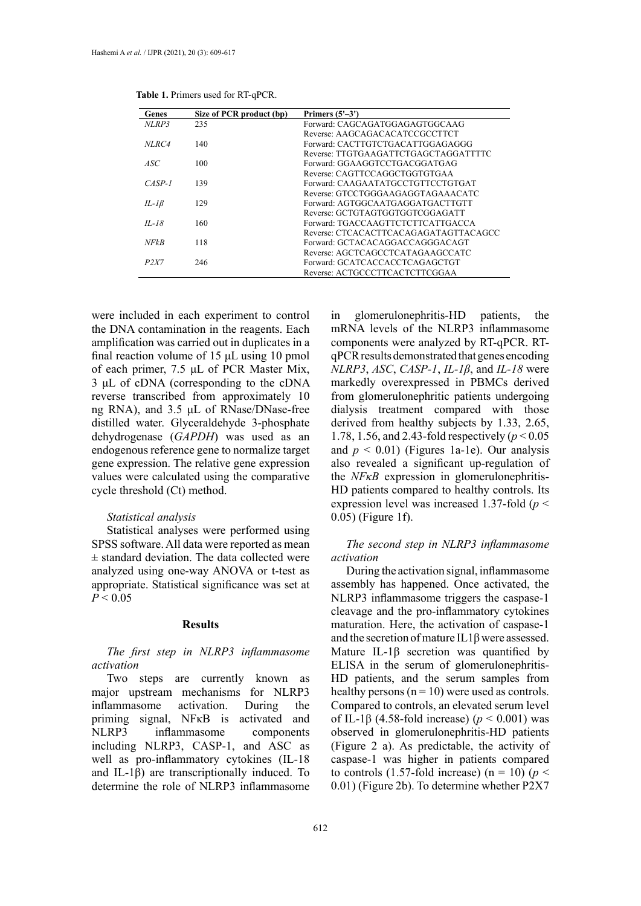| Genes       | Size of PCR product (bp) | Primers $(5'-3')$                     |
|-------------|--------------------------|---------------------------------------|
| NLRP3       | 235                      | Forward: CAGCAGATGGAGAGTGGCAAG        |
|             |                          | Reverse: AAGCAGACACATCCGCCTTCT        |
| NLRC4       | 140                      | Forward: CACTTGTCTGACATTGGAGAGGG      |
|             |                          | Reverse: TTGTGAAGATTCTGAGCTAGGATTTTC  |
| ASC.        | 100                      | Forward: GGAAGGTCCTGACGGATGAG         |
|             |                          | Reverse: CAGTTCCAGGCTGGTGTGAA         |
| $CASP-1$    | 139                      | Forward: CAAGAATATGCCTGTTCCTGTGAT     |
|             |                          | Reverse: GTCCTGGGAAGAGGTAGAAACATC     |
| $IL-IB$     | 129                      | Forward: AGTGGCAATGAGGATGACTTGTT      |
|             |                          | Reverse: GCTGTAGTGGTGGTCGGAGATT       |
| $II - 18$   | 160                      | Forward: TGACCAAGTTCTCTTCATTGACCA     |
|             |                          | Reverse: CTCACACTTCACAGAGATAGTTACAGCC |
| <b>NFkB</b> | 118                      | Forward: GCTACACAGGACCAGGGACAGT       |
|             |                          | Reverse: AGCTCAGCCTCATAGAAGCCATC      |
| P2X7        | 246                      | Forward: GCATCACCACCTCAGAGCTGT        |
|             |                          | Reverse: ACTGCCCTTCACTCTTCGGAA        |

**Table 1.** Primers used for RT-qPCR. **Table 1.** Primers used for RT-qPCR.

were included in each experiment to control the DNA contamination in the reagents. Each amplification was carried out in duplicates in a final reaction volume of 15 μL using 10 pmol of each primer, 7.5 μL of PCR Master Mix, 3 μL of cDNA (corresponding to the cDNA reverse transcribed from approximately 10 ng RNA), and 3.5 μL of RNase/DNase-free distilled water. Glyceraldehyde 3-phosphate dehydrogenase (*GAPDH*) was used as an endogenous reference gene to normalize target gene expression. The relative gene expression values were calculated using the comparative cycle threshold (Ct) method.

## *Statistical analysis*

Statistical analyses were performed using SPSS software. All data were reported as mean ± standard deviation. The data collected were analyzed using one-way ANOVA or t-test as appropriate. Statistical significance was set at  $P < 0.05$ 

#### **Results**

# *The first step in NLRP3 inflammasome activation*

Two steps are currently known as major upstream mechanisms for NLRP3 inflammasome activation. During the priming signal, NFκB is activated and NLRP3 inflammasome components including NLRP3, CASP-1, and ASC as well as pro-inflammatory cytokines (IL-18 and IL-1β) are transcriptionally induced. To determine the role of NLRP3 inflammasome in glomerulonephritis-HD patients, the mRNA levels of the NLRP3 inflammasome components were analyzed by RT-qPCR. RTqPCR results demonstrated that genes encoding *NLRP3*, *ASC*, *CASP-1*, *IL-1β*, and *IL-18* were markedly overexpressed in PBMCs derived from glomerulonephritic patients undergoing dialysis treatment compared with those derived from healthy subjects by 1.33, 2.65, 1.78, 1.56, and 2.43-fold respectively (*p* < 0.05 and  $p < 0.01$ ) (Figures 1a-1e). Our analysis also revealed a significant up-regulation of the *NFκB* expression in glomerulonephritis-HD patients compared to healthy controls. Its expression level was increased 1.37-fold (*p* < 0.05) (Figure 1f).

# *The second step in NLRP3 inflammasome activation*

During the activation signal, inflammasome assembly has happened. Once activated, the NLRP3 inflammasome triggers the caspase-1 cleavage and the pro-inflammatory cytokines maturation. Here, the activation of caspase-1 and the secretion of mature IL1 $\beta$  were assessed. Mature IL-1β secretion was quantified by ELISA in the serum of glomerulonephritis-HD patients, and the serum samples from healthy persons  $(n = 10)$  were used as controls. Compared to controls, an elevated serum level of IL-1β (4.58-fold increase) (*p* < 0.001) was observed in glomerulonephritis-HD patients (Figure 2 a). As predictable, the activity of caspase-1 was higher in patients compared to controls (1.57-fold increase) ( $n = 10$ ) ( $p <$ 0.01) (Figure 2b). To determine whether P2X7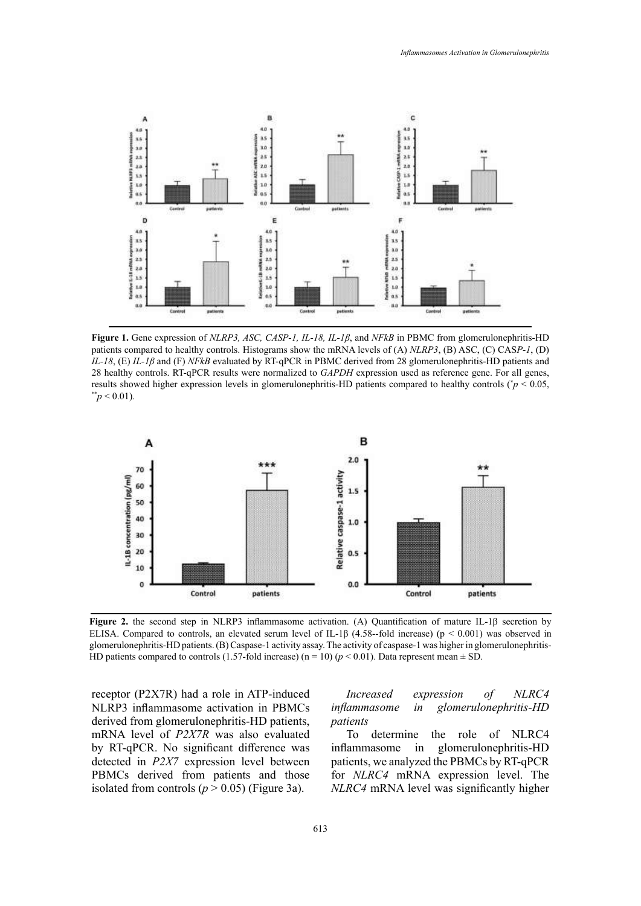

patients compared to healthy controls. Histograms show the mRNA levels of (A) NLRP3, (B) ASC, (C) CASP-1, (D) Equally controls. Et q. expression levels in glomerulonephritis-HD patients compared to healthy controls ( $p < 0.05$ ,<br>  $p > 0.01$ ). **Figure 1.** Gene expression of *NLRP3, ASC, CASP-1, IL-18, IL-1β*, and *NFkB* in PBMC from glomerulonephritis-HD *IL-18*, (E) *IL-1β* and (F) *NFkB* evaluated by RT-qPCR in PBMC derived from 28 glomerulonephritis-HD patients and 28 healthy controls. RT-qPCR results were normalized to *GAPDH* expression used as reference gene. For all genes,



**ELISA. Compared to controls, an elevated serum level of IL-1β (4.58--fold increase) (p < 0.001) was observed in** HD patients compared to controls (1.57-fold increase) (n = 10) ( $p$  < 0.01). Data represent mean  $\pm$  SD. **Figure 2.** the second step in NLRP3 inflammasome activation. (A) Quantification of mature IL-1β secretion by glomerulonephritis-HD patients. (B) Caspase-1 activity assay. The activity of caspase-1 was higher in glomerulonephritis-

NLRP3 inflammasome activation in PBMCs derived from glomerulonephritis-HD patients, patients compared to compare to the activity of cases of compared to compare to compare to compare to compare to compare to compare to compare to compare to compare to compare t mRNA level of *P2X7R* was also evaluated by RT-qPCR. No significant difference was inflammasome in glor detected in *P2X7* expression level between PBMCs derived from patients and those isolated from controls  $(p > 0.05)$  (Figure 3a).

#### receptor (P2X7R) had a role in ATP-induced *Increased expression of NLRC4 Increased expression of NLRC4 inflammasome in glomerulonephritis-HD patients*

To determine the role of NLRC4 inflammasome in glomerulonephritis-HD patients, we analyzed the PBMCs by RT-qPCR 1 for *NLRC4* mRNA expression level. The *NLRC4* mRNA level was significantly higher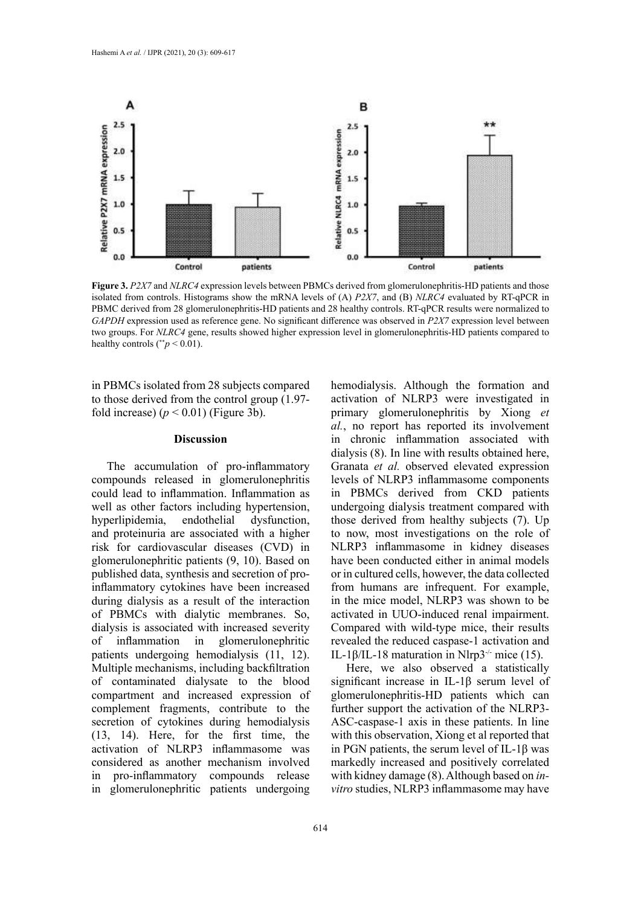

GAPDH expression used as reference gene. No significant difference was observed in P2X7 expression level between  $\text{mean}$  patients ( $p < 0.01$ ). **Figure 3.** *P2X7* and *NLRC4* expression levels between PBMCs derived from glomerulonephritis-HD patients and those isolated from controls. Histograms show the mRNA levels of (A) *P2X7*, and (B) *NLRC4* evaluated by RT-qPCR in PBMC derived from 28 glomerulonephritis-HD patients and 28 healthy controls. RT-qPCR results were normalized to two groups. For *NLRC4* gene, results showed higher expression level in glomerulonephritis-HD patients compared to healthy controls ( $p < 0.01$ ).

in PBMCs isolated from 28 subjects compared hemodialysis. Although the formation and to those derived from the control group (1.97 fold increase)  $(p < 0.01)$  (Figure 3b).

#### **Discussion**

compounds released in glomerulonephritis could lead to inflammation. Inflammation as patients compared to healthy controls (\*\**p* < 0.01). well as other factors including hypertension, hyperlipidemia, endothelial dysfunction, and proteinuria are associated with a higher risk for cardiovascular diseases (CVD) in glomerulonephritic patients (9, 10). Based on published data, synthesis and secretion of proinflammatory cytokines have been increased during dialysis as a result of the interaction of PBMCs with dialytic membranes. So, dialysis is associated with increased severity of inflammation in glomerulonephritic patients undergoing hemodialysis (11, 12). Multiple mechanisms, including backfiltration of contaminated dialysate to the blood compartment and increased expression of complement fragments, contribute to the secretion of cytokines during hemodialysis (13, 14). Here, for the first time, the activation of NLRP3 inflammasome was considered as another mechanism involved in pro-inflammatory compounds release in glomerulonephritic patients undergoing

The accumulation of pro-inflammatory Granata et al. observed elevated expression hemodialysis. Although the formation and activation of NLRP3 were investigated in fold increase)  $(p < 0.01)$  (Figure 3b). The primary glomerulonephritis by Xiong *et al.*, no report has reported its involvement **Discussion reference** in chronic inflammation associated with dialysis (8). In line with results obtained here, Granata *et al.* observed elevated expression levels of NLRP3 inflammasome components in PBMCs derived from CKD patients undergoing dialysis treatment compared with those derived from healthy subjects (7). Up to now, most investigations on the role of NLRP3 inflammasome in kidney diseases have been conducted either in animal models or in cultured cells, however, the data collected from humans are infrequent. For example, in the mice model, NLRP3 was shown to be activated in UUO-induced renal impairment. Compared with wild-type mice, their results revealed the reduced caspase-1 activation and IL-1 $\beta$ /IL-18 maturation in Nlrp3<sup>-/-</sup> mice (15).

> Here, we also observed a statistically significant increase in IL-1β serum level of glomerulonephritis-HD patients which can further support the activation of the NLRP3- ASC-caspase-1 axis in these patients. In line with this observation, Xiong et al reported that in PGN patients, the serum level of IL-1β was markedly increased and positively correlated with kidney damage (8). Although based on *invitro* studies, NLRP3 inflammasome may have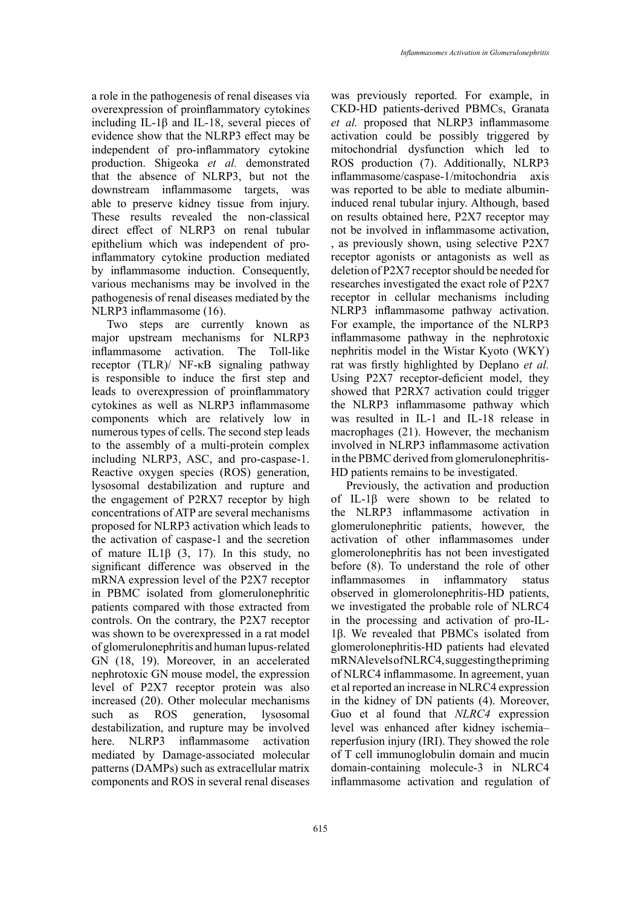a role in the pathogenesis of renal diseases via overexpression of proinflammatory cytokines including IL-1β and IL-18, several pieces of evidence show that the NLRP3 effect may be independent of pro-inflammatory cytokine production. Shigeoka *et al.* demonstrated that the absence of NLRP3, but not the downstream inflammasome targets, was able to preserve kidney tissue from injury. These results revealed the non-classical direct effect of NLRP3 on renal tubular epithelium which was independent of proinflammatory cytokine production mediated by inflammasome induction. Consequently, various mechanisms may be involved in the pathogenesis of renal diseases mediated by the NLRP3 inflammasome (16).

Two steps are currently known as major upstream mechanisms for NLRP3 inflammasome activation. The Toll-like receptor (TLR)/ NF-κB signaling pathway is responsible to induce the first step and leads to overexpression of proinflammatory cytokines as well as NLRP3 inflammasome components which are relatively low in numerous types of cells. The second step leads to the assembly of a multi-protein complex including NLRP3, ASC, and pro-caspase-1. Reactive oxygen species (ROS) generation, lysosomal destabilization and rupture and the engagement of P2RX7 receptor by high concentrations of ATP are several mechanisms proposed for NLRP3 activation which leads to the activation of caspase-1 and the secretion of mature IL1 $\beta$  (3, 17). In this study, no significant difference was observed in the mRNA expression level of the P2X7 receptor in PBMC isolated from glomerulonephritic patients compared with those extracted from controls. On the contrary, the P2X7 receptor was shown to be overexpressed in a rat model of glomerulonephritis and human lupus-related GN (18, 19). Moreover, in an accelerated nephrotoxic GN mouse model, the expression level of P2X7 receptor protein was also increased (20). Other molecular mechanisms such as ROS generation, lysosomal destabilization, and rupture may be involved here. NLRP3 inflammasome activation mediated by Damage-associated molecular patterns (DAMPs) such as extracellular matrix components and ROS in several renal diseases

was previously reported. For example, in CKD-HD patients-derived PBMCs, Granata *et al.* proposed that NLRP3 inflammasome activation could be possibly triggered by mitochondrial dysfunction which led to ROS production (7). Additionally, NLRP3 inflammasome/caspase-1/mitochondria axis was reported to be able to mediate albumininduced renal tubular injury. Although, based on results obtained here, P2X7 receptor may not be involved in inflammasome activation, , as previously shown, using selective P2X7 receptor agonists or antagonists as well as deletion of P2X7 receptor should be needed for researches investigated the exact role of P2X7 receptor in cellular mechanisms including NLRP3 inflammasome pathway activation. For example, the importance of the NLRP3 inflammasome pathway in the nephrotoxic nephritis model in the Wistar Kyoto (WKY) rat was firstly highlighted by Deplano *et al.* Using P2X7 receptor-deficient model, they showed that P2RX7 activation could trigger the NLRP3 inflammasome pathway which was resulted in IL-1 and IL-18 release in macrophages (21). However, the mechanism involved in NLRP3 inflammasome activation in the PBMC derived from glomerulonephritis-HD patients remains to be investigated.

Previously, the activation and production of IL-1β were shown to be related to the NLRP3 inflammasome activation in glomerulonephritic patients, however, the activation of other inflammasomes under glomerolonephritis has not been investigated before (8). To understand the role of other inflammasomes in inflammatory status observed in glomerolonephritis-HD patients, we investigated the probable role of NLRC4 in the processing and activation of pro-IL-1β. We revealed that PBMCs isolated from glomerolonephritis-HD patients had elevated mRNA levels of NLRC4, suggesting the priming of NLRC4 inflammasome. In agreement, yuan et al reported an increase in NLRC4 expression in the kidney of DN patients (4). Moreover, Guo et al found that *NLRC4* expression level was enhanced after kidney ischemia– reperfusion injury (IRI). They showed the role of T cell immunoglobulin domain and mucin domain‐containing molecule‐3 in NLRC4 inflammasome activation and regulation of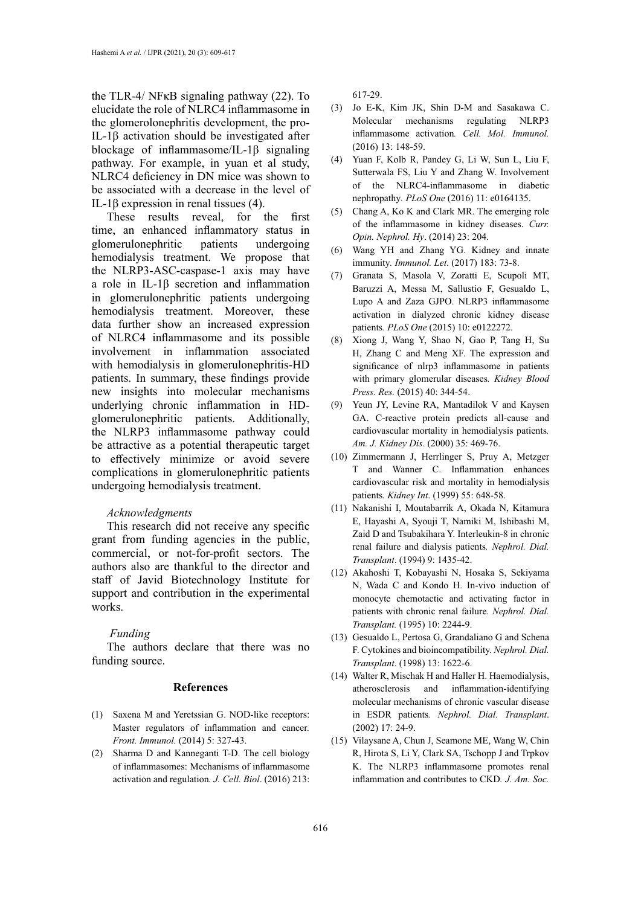the TLR‐4/ NFκB signaling pathway (22). To elucidate the role of NLRC4 inflammasome in the glomerolonephritis development, the pro-IL-1β activation should be investigated after blockage of inflammasome/IL-1β signaling pathway. For example, in yuan et al study, NLRC4 deficiency in DN mice was shown to be associated with a decrease in the level of IL-1β expression in renal tissues (4).

These results reveal, for the first time, an enhanced inflammatory status in glomerulonephritic patients undergoing hemodialysis treatment. We propose that the NLRP3-ASC-caspase-1 axis may have a role in IL-1β secretion and inflammation in glomerulonephritic patients undergoing hemodialysis treatment. Moreover, these data further show an increased expression of NLRC4 inflammasome and its possible involvement in inflammation associated with hemodialysis in glomerulonephritis-HD patients. In summary, these findings provide new insights into molecular mechanisms underlying chronic inflammation in HDglomerulonephritic patients. Additionally, the NLRP3 inflammasome pathway could be attractive as a potential therapeutic target to effectively minimize or avoid severe complications in glomerulonephritic patients undergoing hemodialysis treatment.

#### *Acknowledgments*

This research did not receive any specific grant from funding agencies in the public, commercial, or not-for-profit sectors. The authors also are thankful to the director and staff of Javid Biotechnology Institute for support and contribution in the experimental works.

#### *Funding*

The authors declare that there was no funding source.

#### **References**

- (1) Saxena M and Yeretssian G. NOD-like receptors: Master regulators of inflammation and cancer*. Front. Immunol.* (2014) 5: 327-43.
- (2) Sharma D and Kanneganti T-D. The cell biology of inflammasomes: Mechanisms of inflammasome activation and regulation*. J. Cell. Biol*. (2016) 213:

617-29.

- (3) Jo E-K, Kim JK, Shin D-M and Sasakawa C. Molecular mechanisms regulating NLRP3 inflammasome activation*. Cell. Mol. Immunol.* (2016) 13: 148-59.
- (4) Yuan F, Kolb R, Pandey G, Li W, Sun L, Liu F, Sutterwala FS, Liu Y and Zhang W. Involvement of the NLRC4-inflammasome in diabetic nephropathy*. PLoS One* (2016) 11: e0164135.
- (5) Chang A, Ko K and Clark MR. The emerging role of the inflammasome in kidney diseases. *Curr. Opin. Nephrol. Hy*. (2014) 23: 204.
- (6) Wang YH and Zhang YG. Kidney and innate immunity*. Immunol. Let*. (2017) 183: 73-8.
- (7) Granata S, Masola V, Zoratti E, Scupoli MT, Baruzzi A, Messa M, Sallustio F, Gesualdo L, Lupo A and Zaza GJPO. NLRP3 inflammasome activation in dialyzed chronic kidney disease patients*. PLoS One* (2015) 10: e0122272.
- (8) Xiong J, Wang Y, Shao N, Gao P, Tang H, Su H, Zhang C and Meng XF. The expression and significance of nlrp3 inflammasome in patients with primary glomerular diseases*. Kidney Blood Press. Res.* (2015) 40: 344-54.
- (9) Yeun JY, Levine RA, Mantadilok V and Kaysen GA. C-reactive protein predicts all-cause and cardiovascular mortality in hemodialysis patients*. Am. J. Kidney Dis*. (2000) 35: 469-76.
- (10) Zimmermann J, Herrlinger S, Pruy A, Metzger T and Wanner C. Inflammation enhances cardiovascular risk and mortality in hemodialysis patients*. Kidney Int*. (1999) 55: 648-58.
- (11) Nakanishi I, Moutabarrik A, Okada N, Kitamura E, Hayashi A, Syouji T, Namiki M, Ishibashi M, Zaid D and Tsubakihara Y. Interleukin-8 in chronic renal failure and dialysis patients*. Nephrol. Dial. Transplant*. (1994) 9: 1435-42.
- (12) Akahoshi T, Kobayashi N, Hosaka S, Sekiyama N, Wada C and Kondo H. In-vivo induction of monocyte chemotactic and activating factor in patients with chronic renal failure*. Nephrol. Dial. Transplant.* (1995) 10: 2244-9.
- (13) Gesualdo L, Pertosa G, Grandaliano G and Schena F. Cytokines and bioincompatibility. *Nephrol. Dial. Transplant*. (1998) 13: 1622-6.
- (14) Walter R, Mischak H and Haller H. Haemodialysis, atherosclerosis and inflammation-identifying molecular mechanisms of chronic vascular disease in ESDR patients*. Nephrol. Dial. Transplant*. (2002) 17: 24-9.
- (15) Vilaysane A, Chun J, Seamone ME, Wang W, Chin R, Hirota S, Li Y, Clark SA, Tschopp J and Trpkov K. The NLRP3 inflammasome promotes renal inflammation and contributes to CKD*. J. Am. Soc.*